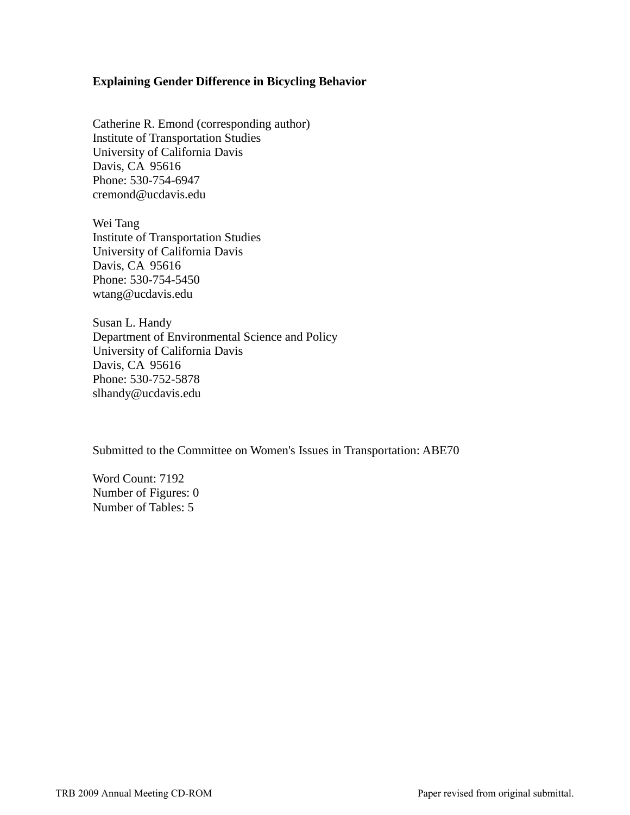## **Explaining Gender Difference in Bicycling Behavior**

Catherine R. Emond (corresponding author) Institute of Transportation Studies University of California Davis Davis, CA 95616 Phone: 530-754-6947 cremond@ucdavis.edu

Wei Tang Institute of Transportation Studies University of California Davis Davis, CA 95616 Phone: 530-754-5450 wtang@ucdavis.edu

Susan L. Handy Department of Environmental Science and Policy University of California Davis Davis, CA 95616 Phone: 530-752-5878 slhandy@ucdavis.edu

Submitted to the Committee on Women's Issues in Transportation: ABE70

Word Count: 7192 Number of Figures: 0 Number of Tables: 5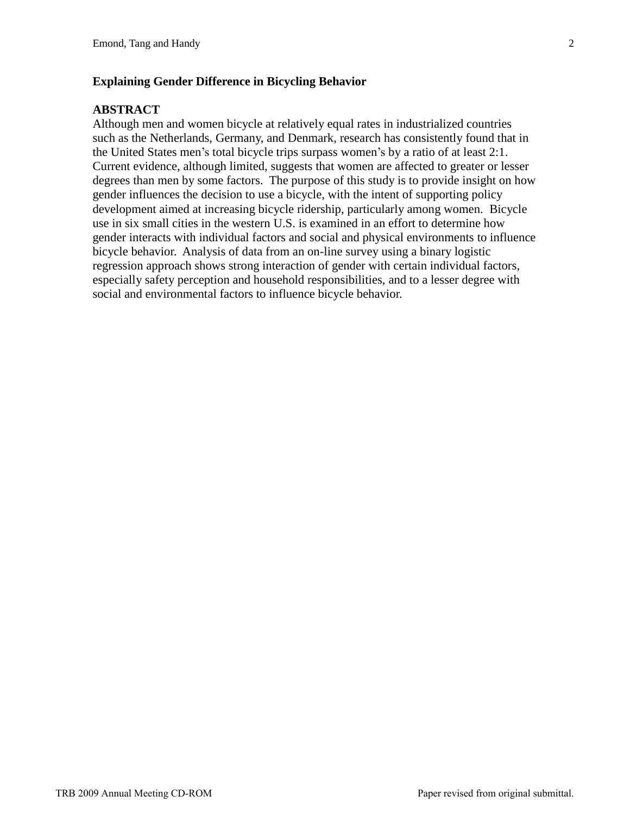## **Explaining Gender Difference in Bicycling Behavior**

## **ABSTRACT**

Although men and women bicycle at relatively equal rates in industrialized countries such as the Netherlands, Germany, and Denmark, research has consistently found that in the United States men's total bicycle trips surpass women's by a ratio of at least 2:1. Current evidence, although limited, suggests that women are affected to greater or lesser degrees than men by some factors. The purpose of this study is to provide insight on how gender influences the decision to use a bicycle, with the intent of supporting policy development aimed at increasing bicycle ridership, particularly among women. Bicycle use in six small cities in the western U.S. is examined in an effort to determine how gender interacts with individual factors and social and physical environments to influence bicycle behavior. Analysis of data from an on-line survey using a binary logistic regression approach shows strong interaction of gender with certain individual factors, especially safety perception and household responsibilities, and to a lesser degree with social and environmental factors to influence bicycle behavior.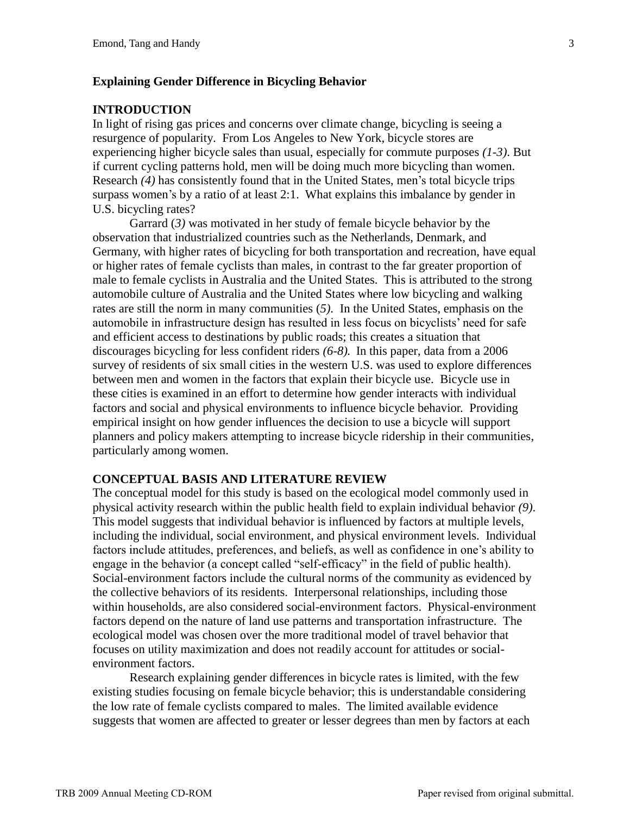# **Explaining Gender Difference in Bicycling Behavior**

## **INTRODUCTION**

In light of rising gas prices and concerns over climate change, bicycling is seeing a resurgence of popularity. From Los Angeles to New York, bicycle stores are experiencing higher bicycle sales than usual, especially for commute purposes *(1-3)*. But if current cycling patterns hold, men will be doing much more bicycling than women. Research *(4)* has consistently found that in the United States, men's total bicycle trips surpass women's by a ratio of at least 2:1. What explains this imbalance by gender in U.S. bicycling rates?

Garrard (*3)* was motivated in her study of female bicycle behavior by the observation that industrialized countries such as the Netherlands, Denmark, and Germany, with higher rates of bicycling for both transportation and recreation, have equal or higher rates of female cyclists than males, in contrast to the far greater proportion of male to female cyclists in Australia and the United States. This is attributed to the strong automobile culture of Australia and the United States where low bicycling and walking rates are still the norm in many communities (*5)*. In the United States, emphasis on the automobile in infrastructure design has resulted in less focus on bicyclists' need for safe and efficient access to destinations by public roads; this creates a situation that discourages bicycling for less confident riders *(6-8).* In this paper, data from a 2006 survey of residents of six small cities in the western U.S. was used to explore differences between men and women in the factors that explain their bicycle use. Bicycle use in these cities is examined in an effort to determine how gender interacts with individual factors and social and physical environments to influence bicycle behavior. Providing empirical insight on how gender influences the decision to use a bicycle will support planners and policy makers attempting to increase bicycle ridership in their communities, particularly among women.

### **CONCEPTUAL BASIS AND LITERATURE REVIEW**

The conceptual model for this study is based on the ecological model commonly used in physical activity research within the public health field to explain individual behavior *(9)*. This model suggests that individual behavior is influenced by factors at multiple levels, including the individual, social environment, and physical environment levels. Individual factors include attitudes, preferences, and beliefs, as well as confidence in one's ability to engage in the behavior (a concept called "self-efficacy" in the field of public health). Social-environment factors include the cultural norms of the community as evidenced by the collective behaviors of its residents. Interpersonal relationships, including those within households, are also considered social-environment factors. Physical-environment factors depend on the nature of land use patterns and transportation infrastructure. The ecological model was chosen over the more traditional model of travel behavior that focuses on utility maximization and does not readily account for attitudes or socialenvironment factors.

Research explaining gender differences in bicycle rates is limited, with the few existing studies focusing on female bicycle behavior; this is understandable considering the low rate of female cyclists compared to males. The limited available evidence suggests that women are affected to greater or lesser degrees than men by factors at each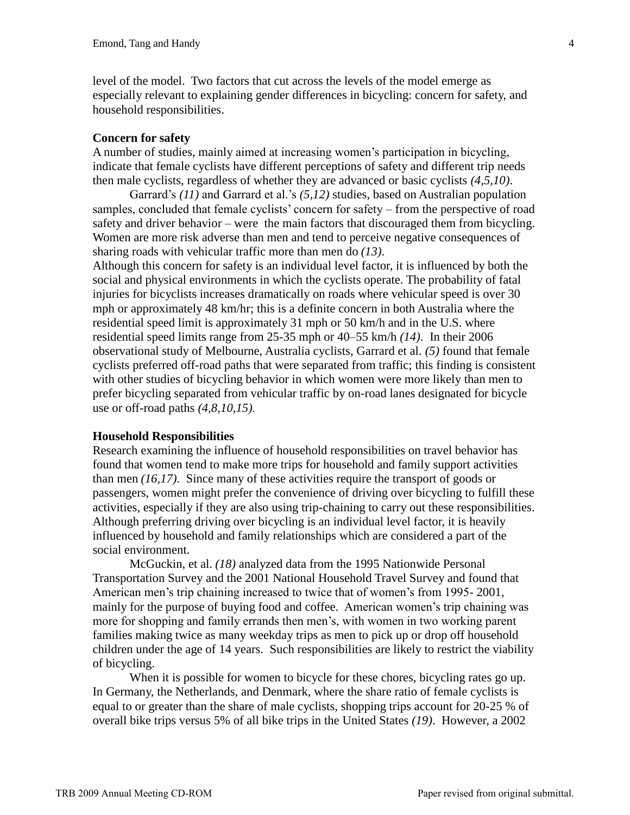level of the model. Two factors that cut across the levels of the model emerge as especially relevant to explaining gender differences in bicycling: concern for safety, and household responsibilities.

### **Concern for safety**

A number of studies, mainly aimed at increasing women's participation in bicycling, indicate that female cyclists have different perceptions of safety and different trip needs then male cyclists, regardless of whether they are advanced or basic cyclists *(4,5,10)*.

Garrard's *(11)* and Garrard et al.'s *(5,12)* studies, based on Australian population samples, concluded that female cyclists' concern for safety – from the perspective of road safety and driver behavior – were the main factors that discouraged them from bicycling. Women are more risk adverse than men and tend to perceive negative consequences of sharing roads with vehicular traffic more than men do *(13)*.

Although this concern for safety is an individual level factor, it is influenced by both the social and physical environments in which the cyclists operate. The probability of fatal injuries for bicyclists increases dramatically on roads where vehicular speed is over 30 mph or approximately 48 km/hr; this is a definite concern in both Australia where the residential speed limit is approximately 31 mph or 50 km/h and in the U.S. where residential speed limits range from 25-35 mph or 40–55 km/h *(14)*. In their 2006 observational study of Melbourne, Australia cyclists, Garrard et al. *(5)* found that female cyclists preferred off-road paths that were separated from traffic; this finding is consistent with other studies of bicycling behavior in which women were more likely than men to prefer bicycling separated from vehicular traffic by on-road lanes designated for bicycle use or off-road paths *(4,8,10,15)*.

#### **Household Responsibilities**

Research examining the influence of household responsibilities on travel behavior has found that women tend to make more trips for household and family support activities than men *(16,17)*. Since many of these activities require the transport of goods or passengers, women might prefer the convenience of driving over bicycling to fulfill these activities, especially if they are also using trip-chaining to carry out these responsibilities. Although preferring driving over bicycling is an individual level factor, it is heavily influenced by household and family relationships which are considered a part of the social environment.

McGuckin, et al. *(18)* analyzed data from the 1995 Nationwide Personal Transportation Survey and the 2001 National Household Travel Survey and found that American men's trip chaining increased to twice that of women's from 1995- 2001, mainly for the purpose of buying food and coffee. American women's trip chaining was more for shopping and family errands then men's, with women in two working parent families making twice as many weekday trips as men to pick up or drop off household children under the age of 14 years. Such responsibilities are likely to restrict the viability of bicycling.

When it is possible for women to bicycle for these chores, bicycling rates go up. In Germany, the Netherlands, and Denmark, where the share ratio of female cyclists is equal to or greater than the share of male cyclists, shopping trips account for 20-25 % of overall bike trips versus 5% of all bike trips in the United States *(19)*. However, a 2002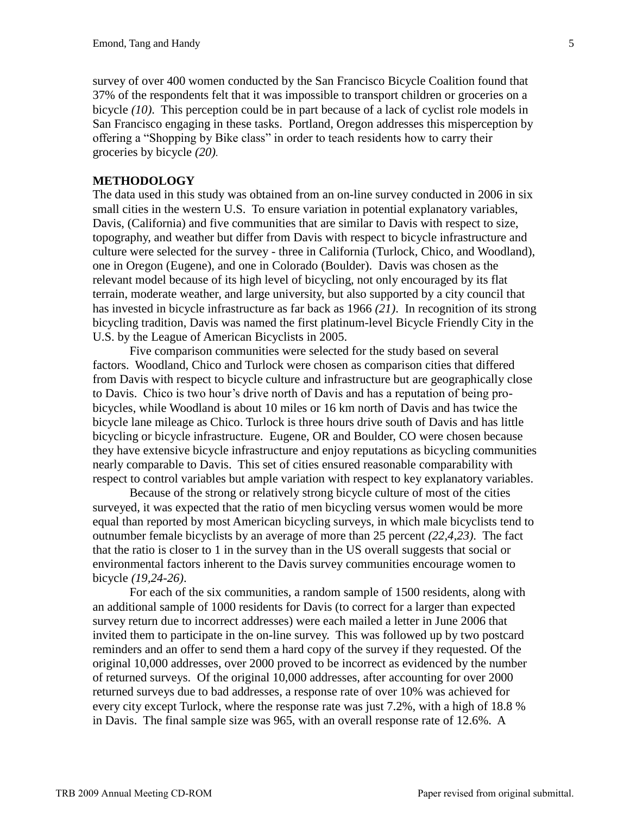survey of over 400 women conducted by the San Francisco Bicycle Coalition found that 37% of the respondents felt that it was impossible to transport children or groceries on a bicycle *(10)*. This perception could be in part because of a lack of cyclist role models in San Francisco engaging in these tasks. Portland, Oregon addresses this misperception by offering a "Shopping by Bike class" in order to teach residents how to carry their groceries by bicycle *(20)*.

## **METHODOLOGY**

The data used in this study was obtained from an on-line survey conducted in 2006 in six small cities in the western U.S. To ensure variation in potential explanatory variables, Davis, (California) and five communities that are similar to Davis with respect to size, topography, and weather but differ from Davis with respect to bicycle infrastructure and culture were selected for the survey - three in California (Turlock, Chico, and Woodland), one in Oregon (Eugene), and one in Colorado (Boulder). Davis was chosen as the relevant model because of its high level of bicycling, not only encouraged by its flat terrain, moderate weather, and large university, but also supported by a city council that has invested in bicycle infrastructure as far back as 1966 *(21)*. In recognition of its strong bicycling tradition, Davis was named the first platinum-level Bicycle Friendly City in the U.S. by the League of American Bicyclists in 2005.

Five comparison communities were selected for the study based on several factors. Woodland, Chico and Turlock were chosen as comparison cities that differed from Davis with respect to bicycle culture and infrastructure but are geographically close to Davis. Chico is two hour's drive north of Davis and has a reputation of being probicycles, while Woodland is about 10 miles or 16 km north of Davis and has twice the bicycle lane mileage as Chico. Turlock is three hours drive south of Davis and has little bicycling or bicycle infrastructure. Eugene, OR and Boulder, CO were chosen because they have extensive bicycle infrastructure and enjoy reputations as bicycling communities nearly comparable to Davis. This set of cities ensured reasonable comparability with respect to control variables but ample variation with respect to key explanatory variables.

Because of the strong or relatively strong bicycle culture of most of the cities surveyed, it was expected that the ratio of men bicycling versus women would be more equal than reported by most American bicycling surveys, in which male bicyclists tend to outnumber female bicyclists by an average of more than 25 percent *(22,4,23)*. The fact that the ratio is closer to 1 in the survey than in the US overall suggests that social or environmental factors inherent to the Davis survey communities encourage women to bicycle *(19,24-26)*.

For each of the six communities, a random sample of 1500 residents, along with an additional sample of 1000 residents for Davis (to correct for a larger than expected survey return due to incorrect addresses) were each mailed a letter in June 2006 that invited them to participate in the on-line survey. This was followed up by two postcard reminders and an offer to send them a hard copy of the survey if they requested. Of the original 10,000 addresses, over 2000 proved to be incorrect as evidenced by the number of returned surveys. Of the original 10,000 addresses, after accounting for over 2000 returned surveys due to bad addresses, a response rate of over 10% was achieved for every city except Turlock, where the response rate was just 7.2%, with a high of 18.8 % in Davis. The final sample size was 965, with an overall response rate of 12.6%. A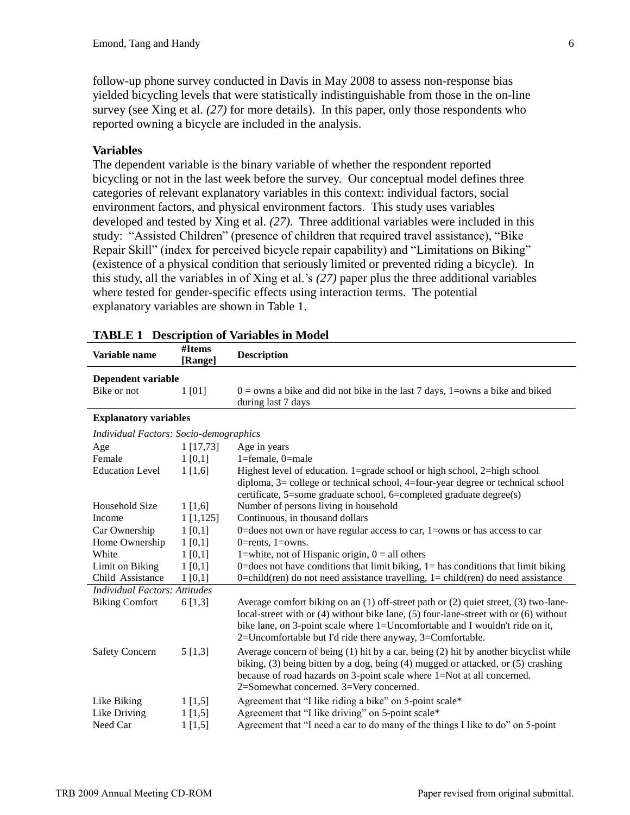follow-up phone survey conducted in Davis in May 2008 to assess non-response bias yielded bicycling levels that were statistically indistinguishable from those in the on-line survey (see Xing et al. *(27)* for more details). In this paper, only those respondents who reported owning a bicycle are included in the analysis.

# **Variables**

The dependent variable is the binary variable of whether the respondent reported bicycling or not in the last week before the survey. Our conceptual model defines three categories of relevant explanatory variables in this context: individual factors, social environment factors, and physical environment factors. This study uses variables developed and tested by Xing et al. *(27)*. Three additional variables were included in this study: "Assisted Children" (presence of children that required travel assistance), "Bike Repair Skill" (index for perceived bicycle repair capability) and "Limitations on Biking" (existence of a physical condition that seriously limited or prevented riding a bicycle). In this study, all the variables in of Xing et al.'s *(27)* paper plus the three additional variables where tested for gender-specific effects using interaction terms. The potential explanatory variables are shown in Table 1.

|                                        |                   | TADLE 1 DESCription of variables in Nouch                                                 |
|----------------------------------------|-------------------|-------------------------------------------------------------------------------------------|
| Variable name                          | #Items<br>[Range] | <b>Description</b>                                                                        |
| Dependent variable                     |                   |                                                                                           |
| Bike or not                            | 1[01]             | $0 =$ owns a bike and did not bike in the last 7 days, 1= owns a bike and biked           |
|                                        |                   | during last 7 days                                                                        |
| <b>Explanatory variables</b>           |                   |                                                                                           |
| Individual Factors: Socio-demographics |                   |                                                                                           |
| Age                                    | 1[17,73]          | Age in years                                                                              |
| Female                                 | 1 [0,1]           | 1=female, 0=male                                                                          |
| <b>Education Level</b>                 | $1\,[1,6]$        | Highest level of education. 1=grade school or high school, $2$ =high school               |
|                                        |                   | diploma, 3= college or technical school, 4=four-year degree or technical school           |
|                                        |                   | certificate, 5=some graduate school, 6=completed graduate degree(s)                       |
| Household Size                         | 1[1,6]            | Number of persons living in household                                                     |
| Income                                 | 1[1,125]          | Continuous, in thousand dollars                                                           |
| Car Ownership                          | 1[0,1]            | 0=does not own or have regular access to car, 1=owns or has access to car                 |
| Home Ownership                         | 1[0,1]            | 0=rents, $1=$ owns.                                                                       |
| White                                  | 1[0,1]            | 1=white, not of Hispanic origin, $0 =$ all others                                         |
| Limit on Biking                        | 1[0,1]            | $0 =$ does not have conditions that limit biking, $1 =$ has conditions that limit biking  |
| Child Assistance                       | 1[0,1]            | $0 = child$ (ren) do not need assistance travelling, $1 = child$ (ren) do need assistance |
| <b>Individual Factors: Attitudes</b>   |                   |                                                                                           |
| <b>Biking Comfort</b>                  | 6[1,3]            | Average comfort biking on an $(1)$ off-street path or $(2)$ quiet street, $(3)$ two-lane- |
|                                        |                   | local-street with or (4) without bike lane, (5) four-lane-street with or (6) without      |
|                                        |                   | bike lane, on 3-point scale where 1=Uncomfortable and I wouldn't ride on it,              |
|                                        |                   | 2=Uncomfortable but I'd ride there anyway, 3=Comfortable.                                 |
| <b>Safety Concern</b>                  | 5[1,3]            | Average concern of being $(1)$ hit by a car, being $(2)$ hit by another bicyclist while   |
|                                        |                   | biking, (3) being bitten by a dog, being (4) mugged or attacked, or (5) crashing          |
|                                        |                   | because of road hazards on 3-point scale where 1=Not at all concerned.                    |
|                                        |                   | 2=Somewhat concerned. 3=Very concerned.                                                   |
| Like Biking                            | 1 [1, 5]          | Agreement that "I like riding a bike" on 5-point scale*                                   |
| Like Driving                           | 1[1,5]            | Agreement that "I like driving" on 5-point scale*                                         |
| Need Car                               | 1 [1, 5]          | Agreement that "I need a car to do many of the things I like to do" on 5-point            |
|                                        |                   |                                                                                           |

# **TABLE 1 Description of Variables in Model**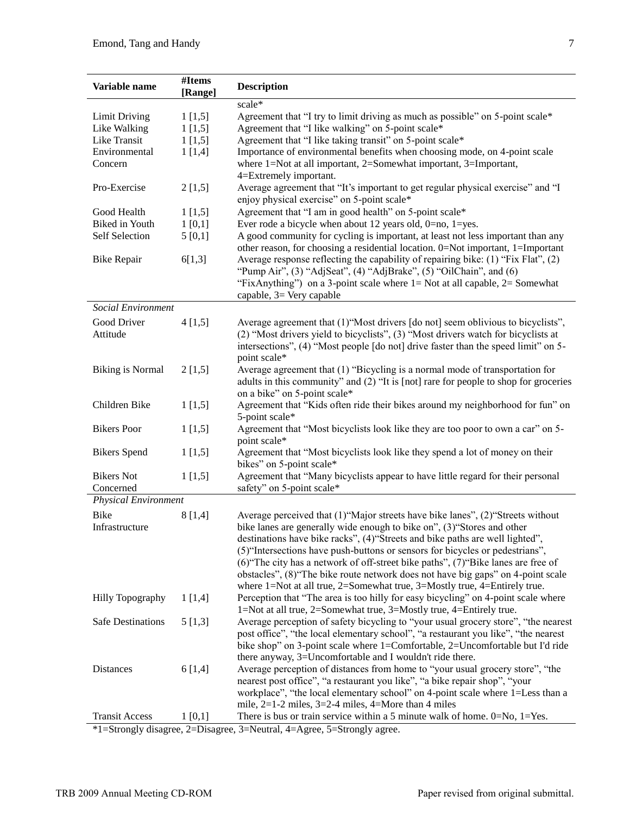| Variable name            | #Items<br>[Range] | <b>Description</b>                                                                                                            |
|--------------------------|-------------------|-------------------------------------------------------------------------------------------------------------------------------|
|                          |                   | scale*                                                                                                                        |
| <b>Limit Driving</b>     | 1[1,5]            | Agreement that "I try to limit driving as much as possible" on 5-point scale*                                                 |
| Like Walking             | 1[1,5]            | Agreement that "I like walking" on 5-point scale*                                                                             |
| Like Transit             | 1[1,5]            | Agreement that "I like taking transit" on 5-point scale*                                                                      |
| Environmental            | 1[1,4]            | Importance of environmental benefits when choosing mode, on 4-point scale                                                     |
| Concern                  |                   | where 1=Not at all important, 2=Somewhat important, 3=Important,                                                              |
|                          |                   | 4=Extremely important.                                                                                                        |
| Pro-Exercise             | 2[1,5]            | Average agreement that "It's important to get regular physical exercise" and "I<br>enjoy physical exercise" on 5-point scale* |
| Good Health              | 1[1,5]            | Agreement that "I am in good health" on 5-point scale*                                                                        |
| <b>Biked</b> in Youth    | 1[0,1]            | Ever rode a bicycle when about 12 years old, $0=$ no, $1=$ yes.                                                               |
| <b>Self Selection</b>    | 5[0,1]            | A good community for cycling is important, at least not less important than any                                               |
|                          |                   | other reason, for choosing a residential location. 0=Not important, 1=Important                                               |
| <b>Bike Repair</b>       | 6[1,3]            | Average response reflecting the capability of repairing bike: $(1)$ "Fix Flat", $(2)$                                         |
|                          |                   | "Pump Air", $(3)$ "AdjSeat", $(4)$ "AdjBrake", $(5)$ "OilChain", and $(6)$                                                    |
|                          |                   | "FixAnything" on a 3-point scale where $l = Not$ at all capable, $2 = Somewhat$                                               |
|                          |                   | capable, 3= Very capable                                                                                                      |
| Social Environment       |                   |                                                                                                                               |
| Good Driver              | 4[1,5]            | Average agreement that (1) "Most drivers [do not] seem oblivious to bicyclists",                                              |
| Attitude                 |                   | (2) "Most drivers yield to bicyclists", (3) "Most drivers watch for bicyclists at                                             |
|                          |                   | intersections", (4) "Most people [do not] drive faster than the speed limit" on 5-                                            |
|                          |                   | point scale*                                                                                                                  |
| <b>Biking is Normal</b>  | 2[1,5]            | Average agreement that (1) "Bicycling is a normal mode of transportation for                                                  |
|                          |                   | adults in this community" and (2) "It is [not] rare for people to shop for groceries                                          |
|                          |                   | on a bike" on 5-point scale*                                                                                                  |
| Children Bike            | 1[1,5]            | Agreement that "Kids often ride their bikes around my neighborhood for fun" on                                                |
|                          |                   | 5-point scale*                                                                                                                |
| <b>Bikers</b> Poor       | 1[1,5]            | Agreement that "Most bicyclists look like they are too poor to own a car" on 5-                                               |
|                          |                   | point scale*                                                                                                                  |
| <b>Bikers</b> Spend      | 1[1,5]            | Agreement that "Most bicyclists look like they spend a lot of money on their                                                  |
|                          |                   | bikes" on 5-point scale*                                                                                                      |
| <b>Bikers</b> Not        | 1[1,5]            | Agreement that "Many bicyclists appear to have little regard for their personal                                               |
| Concerned                |                   | safety" on 5-point scale*                                                                                                     |
| Physical Environment     |                   |                                                                                                                               |
| <b>Bike</b>              | 8 [1,4]           | Average perceived that (1) "Major streets have bike lanes", (2) "Streets without                                              |
| Infrastructure           |                   | bike lanes are generally wide enough to bike on", (3) "Stores and other                                                       |
|                          |                   | destinations have bike racks", (4) "Streets and bike paths are well lighted",                                                 |
|                          |                   | (5) "Intersections have push-buttons or sensors for bicycles or pedestrians",                                                 |
|                          |                   | $(6)$ The city has a network of off-street bike paths", $(7)$ Bike lanes are free of                                          |
|                          |                   | obstacles", (8) "The bike route network does not have big gaps" on 4-point scale                                              |
|                          |                   | where $1 = Not$ at all true, $2 = Somewhat$ true, $3 = Mostly$ true, $4 = Entirely$ true.                                     |
| <b>Hilly Topography</b>  | 1[1,4]            | Perception that "The area is too hilly for easy bicycling" on 4-point scale where                                             |
|                          |                   | 1=Not at all true, 2=Somewhat true, 3=Mostly true, 4=Entirely true.                                                           |
| <b>Safe Destinations</b> | 5[1,3]            | Average perception of safety bicycling to "your usual grocery store", "the nearest                                            |
|                          |                   | post office", "the local elementary school", "a restaurant you like", "the nearest                                            |
|                          |                   | bike shop" on 3-point scale where 1=Comfortable, 2=Uncomfortable but I'd ride                                                 |
|                          |                   | there anyway, 3=Uncomfortable and I wouldn't ride there.                                                                      |
| Distances                | 6 [1,4]           | Average perception of distances from home to "your usual grocery store", "the                                                 |
|                          |                   | nearest post office", "a restaurant you like", "a bike repair shop", "your                                                    |
|                          |                   | workplace", "the local elementary school" on 4-point scale where 1=Less than a                                                |
|                          |                   | mile, $2=1-2$ miles, $3=2-4$ miles, $4=$ More than 4 miles                                                                    |
| <b>Transit Access</b>    | 1[0,1]            | There is bus or train service within a 5 minute walk of home. $0 = No$ , $1 = Yes$ .                                          |
|                          |                   | $*1$ -Strongly disagree 2-Disagree 3-Neutral 4-Agree 5-Strongly agree                                                         |

\*1=Strongly disagree, 2=Disagree, 3=Neutral, 4=Agree, 5=Strongly agree.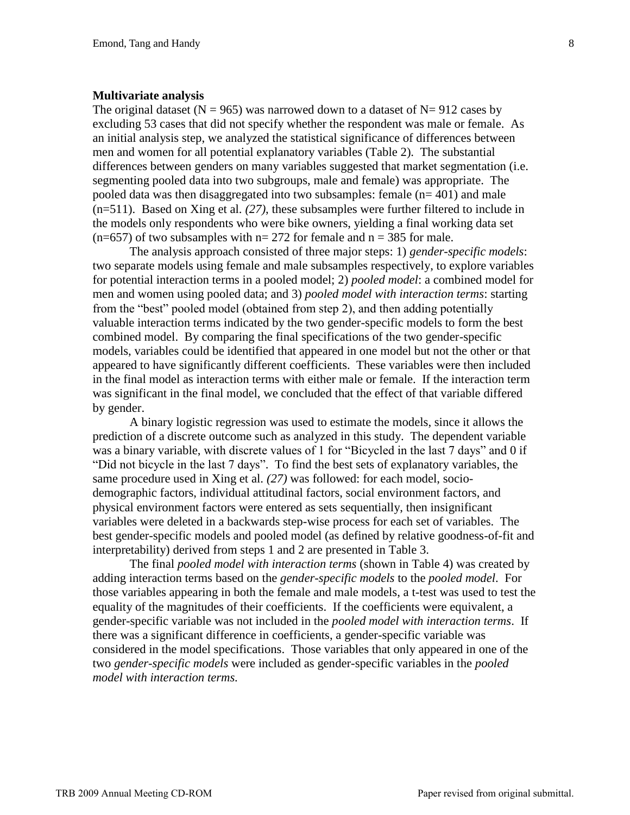#### **Multivariate analysis**

The original dataset ( $N = 965$ ) was narrowed down to a dataset of  $N = 912$  cases by excluding 53 cases that did not specify whether the respondent was male or female. As an initial analysis step, we analyzed the statistical significance of differences between men and women for all potential explanatory variables (Table 2). The substantial differences between genders on many variables suggested that market segmentation (i.e. segmenting pooled data into two subgroups, male and female) was appropriate. The pooled data was then disaggregated into two subsamples: female  $(n= 401)$  and male (n=511). Based on Xing et al. *(27)*, these subsamples were further filtered to include in the models only respondents who were bike owners, yielding a final working data set  $(n=657)$  of two subsamples with  $n=272$  for female and  $n=385$  for male.

The analysis approach consisted of three major steps: 1) *gender-specific models*: two separate models using female and male subsamples respectively, to explore variables for potential interaction terms in a pooled model; 2) *pooled model*: a combined model for men and women using pooled data; and 3) *pooled model with interaction terms*: starting from the "best" pooled model (obtained from step 2), and then adding potentially valuable interaction terms indicated by the two gender-specific models to form the best combined model. By comparing the final specifications of the two gender-specific models, variables could be identified that appeared in one model but not the other or that appeared to have significantly different coefficients. These variables were then included in the final model as interaction terms with either male or female. If the interaction term was significant in the final model, we concluded that the effect of that variable differed by gender.

A binary logistic regression was used to estimate the models, since it allows the prediction of a discrete outcome such as analyzed in this study. The dependent variable was a binary variable, with discrete values of 1 for "Bicycled in the last 7 days" and 0 if "Did not bicycle in the last 7 days". To find the best sets of explanatory variables, the same procedure used in Xing et al. *(27)* was followed: for each model, sociodemographic factors, individual attitudinal factors, social environment factors, and physical environment factors were entered as sets sequentially, then insignificant variables were deleted in a backwards step-wise process for each set of variables. The best gender-specific models and pooled model (as defined by relative goodness-of-fit and interpretability) derived from steps 1 and 2 are presented in Table 3.

The final *pooled model with interaction terms* (shown in Table 4) was created by adding interaction terms based on the *gender-specific models* to the *pooled model*. For those variables appearing in both the female and male models, a t-test was used to test the equality of the magnitudes of their coefficients. If the coefficients were equivalent, a gender-specific variable was not included in the *pooled model with interaction terms*. If there was a significant difference in coefficients, a gender-specific variable was considered in the model specifications. Those variables that only appeared in one of the two *gender-specific models* were included as gender-specific variables in the *pooled model with interaction terms.*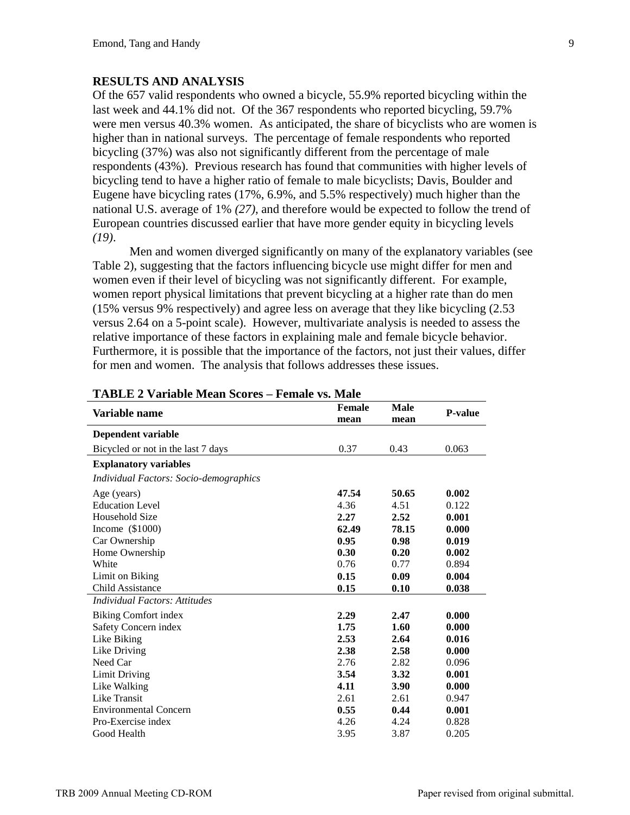### **RESULTS AND ANALYSIS**

Of the 657 valid respondents who owned a bicycle, 55.9% reported bicycling within the last week and 44.1% did not. Of the 367 respondents who reported bicycling, 59.7% were men versus 40.3% women. As anticipated, the share of bicyclists who are women is higher than in national surveys. The percentage of female respondents who reported bicycling (37%) was also not significantly different from the percentage of male respondents (43%). Previous research has found that communities with higher levels of bicycling tend to have a higher ratio of female to male bicyclists; Davis, Boulder and Eugene have bicycling rates (17%, 6.9%, and 5.5% respectively) much higher than the national U.S. average of 1% *(27)*, and therefore would be expected to follow the trend of European countries discussed earlier that have more gender equity in bicycling levels *(19)*.

Men and women diverged significantly on many of the explanatory variables (see Table 2), suggesting that the factors influencing bicycle use might differ for men and women even if their level of bicycling was not significantly different. For example, women report physical limitations that prevent bicycling at a higher rate than do men (15% versus 9% respectively) and agree less on average that they like bicycling (2.53 versus 2.64 on a 5-point scale). However, multivariate analysis is needed to assess the relative importance of these factors in explaining male and female bicycle behavior. Furthermore, it is possible that the importance of the factors, not just their values, differ for men and women. The analysis that follows addresses these issues.

| $\blacksquare$ . The state of $\blacksquare$ | I GMAR 190 BMAR |                       |                     |                |
|----------------------------------------------|-----------------|-----------------------|---------------------|----------------|
| Variable name                                |                 | <b>Female</b><br>mean | <b>Male</b><br>mean | <b>P-value</b> |
| Dependent variable                           |                 |                       |                     |                |
| Bicycled or not in the last 7 days           |                 | 0.37                  | 0.43                | 0.063          |
| <b>Explanatory variables</b>                 |                 |                       |                     |                |
| Individual Factors: Socio-demographics       |                 |                       |                     |                |
| Age (years)                                  |                 | 47.54                 | 50.65               | 0.002          |
| <b>Education Level</b>                       |                 | 4.36                  | 4.51                | 0.122          |
| Household Size                               |                 | 2.27                  | 2.52                | 0.001          |
| Income $(\$1000)$                            |                 | 62.49                 | 78.15               | 0.000          |
| Car Ownership                                |                 | 0.95                  | 0.98                | 0.019          |
| Home Ownership                               |                 | 0.30                  | 0.20                | 0.002          |
| White                                        |                 | 0.76                  | 0.77                | 0.894          |
| Limit on Biking                              |                 | 0.15                  | 0.09                | 0.004          |
| <b>Child Assistance</b>                      |                 | 0.15                  | 0.10                | 0.038          |
| <b>Individual Factors: Attitudes</b>         |                 |                       |                     |                |
| <b>Biking Comfort index</b>                  |                 | 2.29                  | 2.47                | 0.000          |
| Safety Concern index                         |                 | 1.75                  | 1.60                | 0.000          |
| Like Biking                                  |                 | 2.53                  | 2.64                | 0.016          |
| Like Driving                                 |                 | 2.38                  | 2.58                | 0.000          |
| Need Car                                     |                 | 2.76                  | 2.82                | 0.096          |
| <b>Limit Driving</b>                         |                 | 3.54                  | 3.32                | 0.001          |
| Like Walking                                 |                 | 4.11                  | 3.90                | 0.000          |
| Like Transit                                 |                 | 2.61                  | 2.61                | 0.947          |
| <b>Environmental Concern</b>                 |                 | 0.55                  | 0.44                | 0.001          |
| Pro-Exercise index                           |                 | 4.26                  | 4.24                | 0.828          |
| Good Health                                  |                 | 3.95                  | 3.87                | 0.205          |

# **TABLE 2 Variable Mean Scores – Female vs. Male**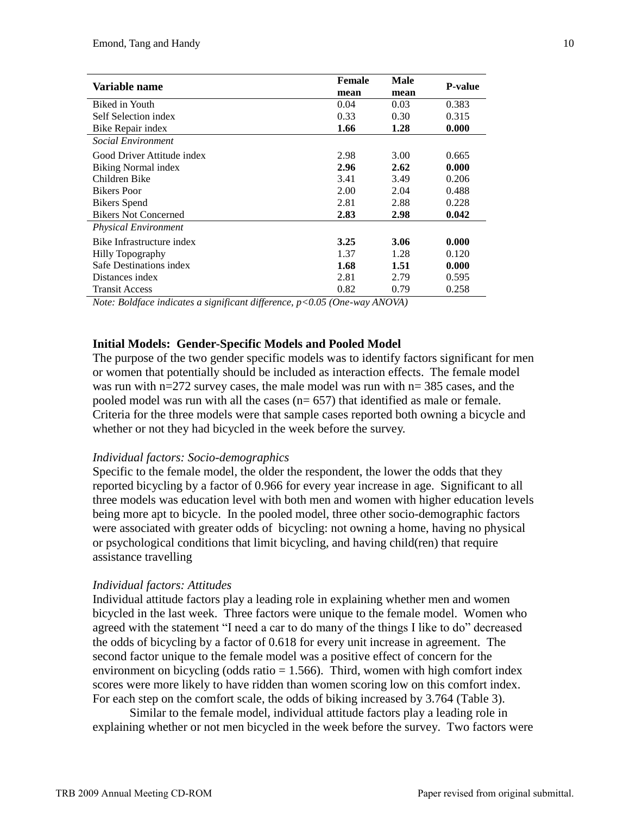| Variable name               | <b>Female</b> | Male | <b>P-value</b> |
|-----------------------------|---------------|------|----------------|
|                             | mean          | mean |                |
| Biked in Youth              | 0.04          | 0.03 | 0.383          |
| Self Selection index        | 0.33          | 0.30 | 0.315          |
| Bike Repair index           | 1.66          | 1.28 | 0.000          |
| Social Environment          |               |      |                |
| Good Driver Attitude index  | 2.98          | 3.00 | 0.665          |
| Biking Normal index         | 2.96          | 2.62 | 0.000          |
| Children Bike               | 3.41          | 3.49 | 0.206          |
| <b>Bikers</b> Poor          | 2.00          | 2.04 | 0.488          |
| <b>Bikers</b> Spend         | 2.81          | 2.88 | 0.228          |
| <b>Bikers Not Concerned</b> | 2.83          | 2.98 | 0.042          |
| <b>Physical Environment</b> |               |      |                |
| Bike Infrastructure index   | 3.25          | 3.06 | 0.000          |
| <b>Hilly Topography</b>     | 1.37          | 1.28 | 0.120          |
| Safe Destinations index     | 1.68          | 1.51 | 0.000          |
| Distances index             | 2.81          | 2.79 | 0.595          |
| <b>Transit Access</b>       | 0.82          | 0.79 | 0.258          |

*Note: Boldface indicates a significant difference, p<0.05 (One-way ANOVA)*

## **Initial Models: Gender-Specific Models and Pooled Model**

The purpose of the two gender specific models was to identify factors significant for men or women that potentially should be included as interaction effects. The female model was run with n=272 survey cases, the male model was run with n= 385 cases, and the pooled model was run with all the cases (n= 657) that identified as male or female. Criteria for the three models were that sample cases reported both owning a bicycle and whether or not they had bicycled in the week before the survey.

### *Individual factors: Socio-demographics*

Specific to the female model, the older the respondent, the lower the odds that they reported bicycling by a factor of 0.966 for every year increase in age. Significant to all three models was education level with both men and women with higher education levels being more apt to bicycle. In the pooled model, three other socio-demographic factors were associated with greater odds of bicycling: not owning a home, having no physical or psychological conditions that limit bicycling, and having child(ren) that require assistance travelling

### *Individual factors: Attitudes*

Individual attitude factors play a leading role in explaining whether men and women bicycled in the last week. Three factors were unique to the female model. Women who agreed with the statement "I need a car to do many of the things I like to do" decreased the odds of bicycling by a factor of 0.618 for every unit increase in agreement. The second factor unique to the female model was a positive effect of concern for the environment on bicycling (odds ratio  $= 1.566$ ). Third, women with high comfort index scores were more likely to have ridden than women scoring low on this comfort index. For each step on the comfort scale, the odds of biking increased by 3.764 (Table 3).

Similar to the female model, individual attitude factors play a leading role in explaining whether or not men bicycled in the week before the survey. Two factors were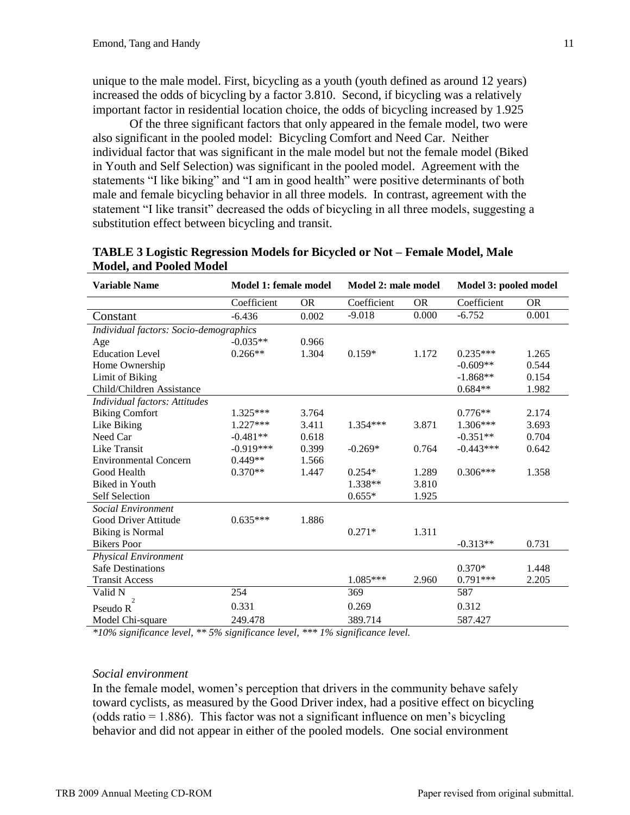unique to the male model. First, bicycling as a youth (youth defined as around 12 years) increased the odds of bicycling by a factor 3.810. Second, if bicycling was a relatively important factor in residential location choice, the odds of bicycling increased by 1.925

Of the three significant factors that only appeared in the female model, two were also significant in the pooled model: Bicycling Comfort and Need Car. Neither individual factor that was significant in the male model but not the female model (Biked in Youth and Self Selection) was significant in the pooled model. Agreement with the statements "I like biking" and "I am in good health" were positive determinants of both male and female bicycling behavior in all three models. In contrast, agreement with the statement "I like transit" decreased the odds of bicycling in all three models, suggesting a substitution effect between bicycling and transit.

| <b>Variable Name</b>                   | Model 1: female model<br>Model 2: male model |           | Model 3: pooled model |           |             |           |
|----------------------------------------|----------------------------------------------|-----------|-----------------------|-----------|-------------|-----------|
|                                        | Coefficient                                  | <b>OR</b> | Coefficient           | <b>OR</b> | Coefficient | <b>OR</b> |
| Constant                               | $-6.436$                                     | 0.002     | $-9.018$              | 0.000     | $-6.752$    | 0.001     |
| Individual factors: Socio-demographics |                                              |           |                       |           |             |           |
| Age                                    | $-0.035**$                                   | 0.966     |                       |           |             |           |
| <b>Education Level</b>                 | $0.266**$                                    | 1.304     | $0.159*$              | 1.172     | $0.235***$  | 1.265     |
| Home Ownership                         |                                              |           |                       |           | $-0.609**$  | 0.544     |
| Limit of Biking                        |                                              |           |                       |           | $-1.868**$  | 0.154     |
| Child/Children Assistance              |                                              |           |                       |           | $0.684**$   | 1.982     |
| Individual factors: Attitudes          |                                              |           |                       |           |             |           |
| <b>Biking Comfort</b>                  | $1.325***$                                   | 3.764     |                       |           | $0.776**$   | 2.174     |
| Like Biking                            | $1.227***$                                   | 3.411     | $1.354***$            | 3.871     | $1.306***$  | 3.693     |
| Need Car                               | $-0.481**$                                   | 0.618     |                       |           | $-0.351**$  | 0.704     |
| <b>Like Transit</b>                    | $-0.919***$                                  | 0.399     | $-0.269*$             | 0.764     | $-0.443***$ | 0.642     |
| <b>Environmental Concern</b>           | $0.449**$                                    | 1.566     |                       |           |             |           |
| Good Health                            | $0.370**$                                    | 1.447     | $0.254*$              | 1.289     | $0.306***$  | 1.358     |
| Biked in Youth                         |                                              |           | 1.338**               | 3.810     |             |           |
| <b>Self Selection</b>                  |                                              |           | $0.655*$              | 1.925     |             |           |
| Social Environment                     |                                              |           |                       |           |             |           |
| Good Driver Attitude                   | $0.635***$                                   | 1.886     |                       |           |             |           |
| <b>Biking is Normal</b>                |                                              |           | $0.271*$              | 1.311     |             |           |
| <b>Bikers</b> Poor                     |                                              |           |                       |           | $-0.313**$  | 0.731     |
| <b>Physical Environment</b>            |                                              |           |                       |           |             |           |
| <b>Safe Destinations</b>               |                                              |           |                       |           | $0.370*$    | 1.448     |
| <b>Transit Access</b>                  |                                              |           | 1.085***              | 2.960     | $0.791***$  | 2.205     |
| Valid N                                | 254                                          |           | 369                   |           | 587         |           |
| $\overline{c}$<br>Pseudo R             | 0.331                                        |           | 0.269                 |           | 0.312       |           |
| Model Chi-square                       | 249.478                                      |           | 389.714               |           | 587.427     |           |

**TABLE 3 Logistic Regression Models for Bicycled or Not – Female Model, Male Model, and Pooled Model**

*\*10% significance level, \*\* 5% significance level, \*\*\* 1% significance level.*

### *Social environment*

In the female model, women's perception that drivers in the community behave safely toward cyclists, as measured by the Good Driver index, had a positive effect on bicycling  $(odds ratio = 1.886)$ . This factor was not a significant influence on men's bicycling behavior and did not appear in either of the pooled models. One social environment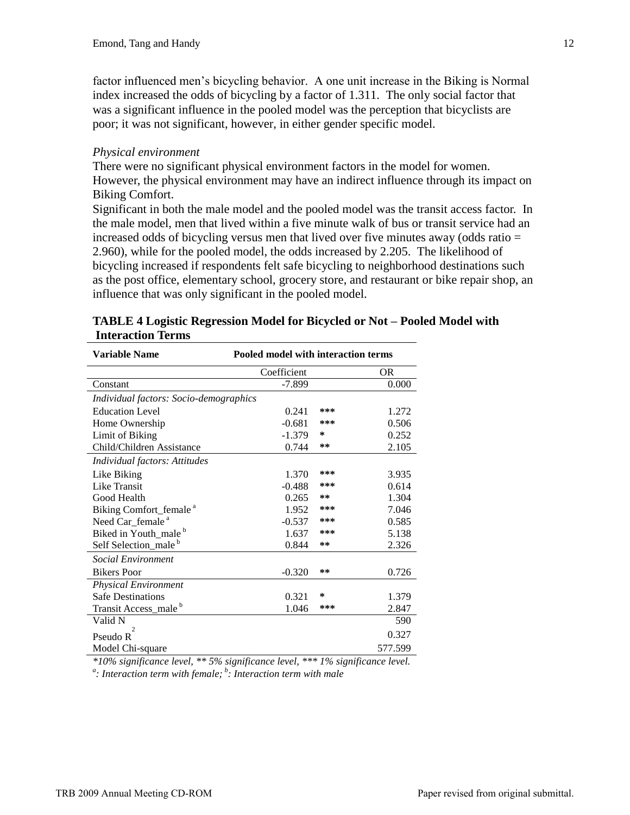factor influenced men's bicycling behavior. A one unit increase in the Biking is Normal index increased the odds of bicycling by a factor of 1.311. The only social factor that was a significant influence in the pooled model was the perception that bicyclists are poor; it was not significant, however, in either gender specific model.

# *Physical environment*

There were no significant physical environment factors in the model for women. However, the physical environment may have an indirect influence through its impact on Biking Comfort.

Significant in both the male model and the pooled model was the transit access factor. In the male model, men that lived within a five minute walk of bus or transit service had an increased odds of bicycling versus men that lived over five minutes away (odds ratio = 2.960), while for the pooled model, the odds increased by 2.205. The likelihood of bicycling increased if respondents felt safe bicycling to neighborhood destinations such as the post office, elementary school, grocery store, and restaurant or bike repair shop, an influence that was only significant in the pooled model.

| <b>Variable Name</b>                   | Pooled model with interaction terms |     |         |
|----------------------------------------|-------------------------------------|-----|---------|
|                                        | Coefficient                         |     | OR      |
| Constant                               | $-7.899$                            |     | 0.000   |
| Individual factors: Socio-demographics |                                     |     |         |
| <b>Education Level</b>                 | 0.241                               | *** | 1.272   |
| Home Ownership                         | $-0.681$                            | *** | 0.506   |
| Limit of Biking                        | $-1.379$                            | ∗   | 0.252   |
| Child/Children Assistance              | 0.744                               | **  | 2.105   |
| Individual factors: Attitudes          |                                     |     |         |
| Like Biking                            | 1.370                               | *** | 3.935   |
| <b>Like Transit</b>                    | $-0.488$                            | *** | 0.614   |
| Good Health                            | 0.265                               | **  | 1.304   |
| Biking Comfort_female <sup>a</sup>     | 1.952                               | *** | 7.046   |
| Need Car_female <sup>a</sup>           | $-0.537$                            | *** | 0.585   |
| Biked in Youth_male <sup>b</sup>       | 1.637                               | *** | 5.138   |
| Self Selection_male <sup>b</sup>       | 0.844                               | **  | 2.326   |
| <b>Social Environment</b>              |                                     |     |         |
| <b>Bikers</b> Poor                     | $-0.320$                            | **  | 0.726   |
| <b>Physical Environment</b>            |                                     |     |         |
| <b>Safe Destinations</b>               | 0.321                               | *   | 1.379   |
| Transit Access_male <sup>b</sup>       | 1.046                               | *** | 2.847   |
| Valid N                                |                                     |     | 590     |
| $\overline{c}$<br>Pseudo R             |                                     |     | 0.327   |
| Model Chi-square                       |                                     |     | 577.599 |

# **TABLE 4 Logistic Regression Model for Bicycled or Not – Pooled Model with Interaction Terms**

*\*10% significance level, \*\* 5% significance level, \*\*\* 1% significance level. a : Interaction term with female; <sup>b</sup> : Interaction term with male*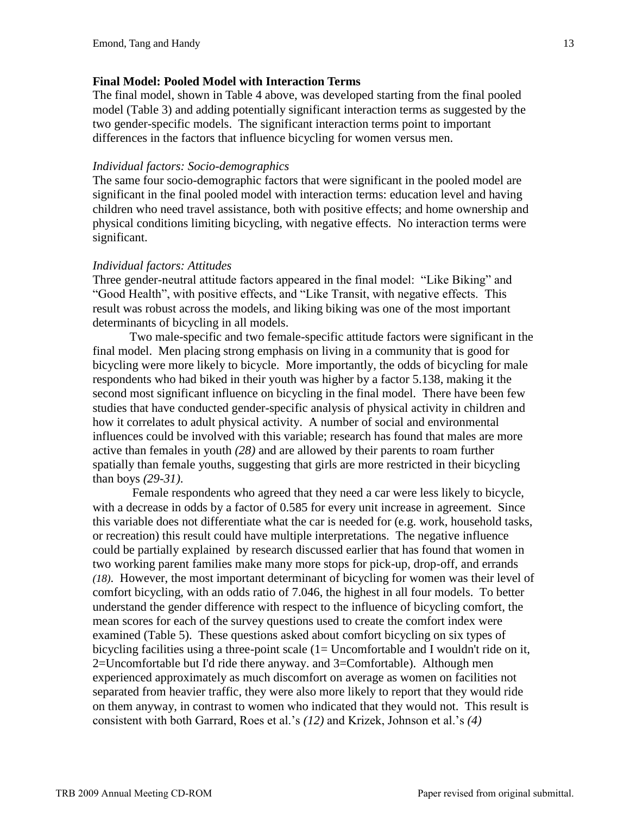## **Final Model: Pooled Model with Interaction Terms**

The final model, shown in Table 4 above, was developed starting from the final pooled model (Table 3) and adding potentially significant interaction terms as suggested by the two gender-specific models. The significant interaction terms point to important differences in the factors that influence bicycling for women versus men.

### *Individual factors: Socio-demographics*

The same four socio-demographic factors that were significant in the pooled model are significant in the final pooled model with interaction terms: education level and having children who need travel assistance, both with positive effects; and home ownership and physical conditions limiting bicycling, with negative effects. No interaction terms were significant.

## *Individual factors: Attitudes*

Three gender-neutral attitude factors appeared in the final model: "Like Biking" and "Good Health", with positive effects, and "Like Transit, with negative effects. This result was robust across the models, and liking biking was one of the most important determinants of bicycling in all models.

Two male-specific and two female-specific attitude factors were significant in the final model. Men placing strong emphasis on living in a community that is good for bicycling were more likely to bicycle. More importantly, the odds of bicycling for male respondents who had biked in their youth was higher by a factor 5.138, making it the second most significant influence on bicycling in the final model. There have been few studies that have conducted gender-specific analysis of physical activity in children and how it correlates to adult physical activity. A number of social and environmental influences could be involved with this variable; research has found that males are more active than females in youth *(28)* and are allowed by their parents to roam further spatially than female youths, suggesting that girls are more restricted in their bicycling than boys *(29-31)*.

Female respondents who agreed that they need a car were less likely to bicycle, with a decrease in odds by a factor of 0.585 for every unit increase in agreement. Since this variable does not differentiate what the car is needed for (e.g. work, household tasks, or recreation) this result could have multiple interpretations. The negative influence could be partially explained by research discussed earlier that has found that women in two working parent families make many more stops for pick-up, drop-off, and errands *(18)*. However, the most important determinant of bicycling for women was their level of comfort bicycling, with an odds ratio of 7.046, the highest in all four models. To better understand the gender difference with respect to the influence of bicycling comfort, the mean scores for each of the survey questions used to create the comfort index were examined (Table 5). These questions asked about comfort bicycling on six types of bicycling facilities using a three-point scale (1= Uncomfortable and I wouldn't ride on it, 2=Uncomfortable but I'd ride there anyway. and 3=Comfortable). Although men experienced approximately as much discomfort on average as women on facilities not separated from heavier traffic, they were also more likely to report that they would ride on them anyway, in contrast to women who indicated that they would not. This result is consistent with both Garrard, Roes et al.'s *(12)* and Krizek, Johnson et al.'s *(4)*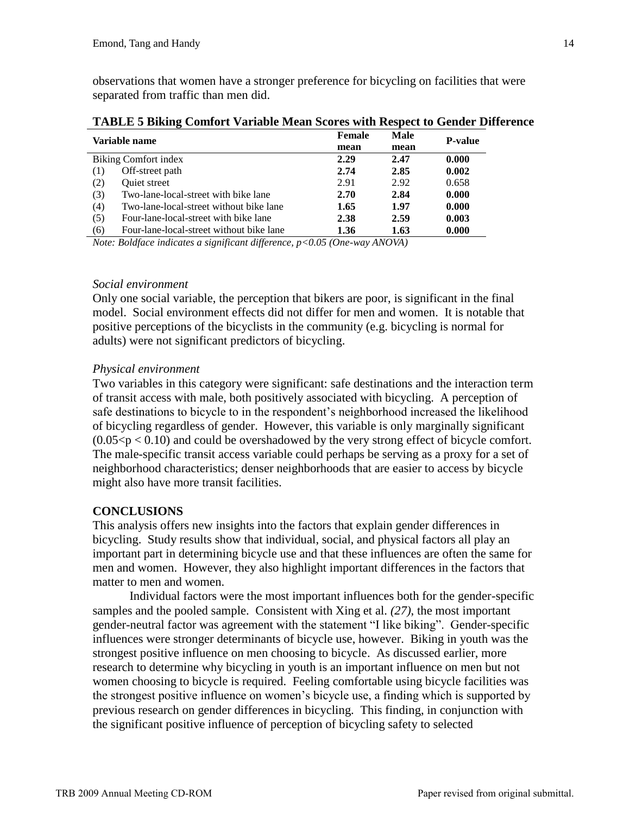observations that women have a stronger preference for bicycling on facilities that were separated from traffic than men did.

| Variable name |                                          | Female | Male | <b>P-value</b> |
|---------------|------------------------------------------|--------|------|----------------|
|               |                                          | mean   | mean |                |
|               | Biking Comfort index                     | 2.29   | 2.47 | 0.000          |
| (1)           | Off-street path                          | 2.74   | 2.85 | 0.002          |
| (2)           | Quiet street                             | 2.91   | 2.92 | 0.658          |
| (3)           | Two-lane-local-street with bike lane     | 2.70   | 2.84 | 0.000          |
| (4)           | Two-lane-local-street without bike lane  | 1.65   | 1.97 | 0.000          |
| (5)           | Four-lane-local-street with bike lane    | 2.38   | 2.59 | 0.003          |
| (6)           | Four-lane-local-street without bike lane | 1.36   | 1.63 | 0.000          |

**TABLE 5 Biking Comfort Variable Mean Scores with Respect to Gender Difference** 

*Note: Boldface indicates a significant difference, p<0.05 (One-way ANOVA)*

## *Social environment*

Only one social variable, the perception that bikers are poor, is significant in the final model. Social environment effects did not differ for men and women. It is notable that positive perceptions of the bicyclists in the community (e.g. bicycling is normal for adults) were not significant predictors of bicycling.

# *Physical environment*

Two variables in this category were significant: safe destinations and the interaction term of transit access with male, both positively associated with bicycling. A perception of safe destinations to bicycle to in the respondent's neighborhood increased the likelihood of bicycling regardless of gender. However, this variable is only marginally significant  $(0.05 < p < 0.10)$  and could be overshadowed by the very strong effect of bicycle comfort. The male-specific transit access variable could perhaps be serving as a proxy for a set of neighborhood characteristics; denser neighborhoods that are easier to access by bicycle might also have more transit facilities.

# **CONCLUSIONS**

This analysis offers new insights into the factors that explain gender differences in bicycling. Study results show that individual, social, and physical factors all play an important part in determining bicycle use and that these influences are often the same for men and women. However, they also highlight important differences in the factors that matter to men and women.

Individual factors were the most important influences both for the gender-specific samples and the pooled sample. Consistent with Xing et al. *(27)*, the most important gender-neutral factor was agreement with the statement "I like biking". Gender-specific influences were stronger determinants of bicycle use, however. Biking in youth was the strongest positive influence on men choosing to bicycle. As discussed earlier, more research to determine why bicycling in youth is an important influence on men but not women choosing to bicycle is required. Feeling comfortable using bicycle facilities was the strongest positive influence on women's bicycle use, a finding which is supported by previous research on gender differences in bicycling. This finding, in conjunction with the significant positive influence of perception of bicycling safety to selected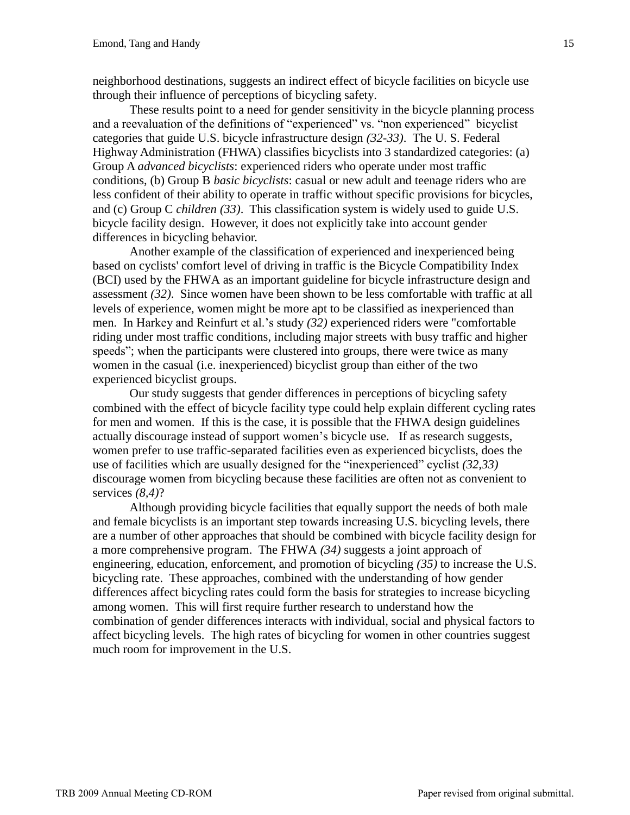neighborhood destinations, suggests an indirect effect of bicycle facilities on bicycle use through their influence of perceptions of bicycling safety.

These results point to a need for gender sensitivity in the bicycle planning process and a reevaluation of the definitions of "experienced" vs. "non experienced" bicyclist categories that guide U.S. bicycle infrastructure design *(32-33)*. The U. S. Federal Highway Administration (FHWA) classifies bicyclists into 3 standardized categories: (a) Group A *advanced bicyclists*: experienced riders who operate under most traffic conditions, (b) Group B *basic bicyclists*: casual or new adult and teenage riders who are less confident of their ability to operate in traffic without specific provisions for bicycles, and (c) Group C *children (33)*. This classification system is widely used to guide U.S. bicycle facility design. However, it does not explicitly take into account gender differences in bicycling behavior.

Another example of the classification of experienced and inexperienced being based on cyclists' comfort level of driving in traffic is the Bicycle Compatibility Index (BCI) used by the FHWA as an important guideline for bicycle infrastructure design and assessment *(32)*. Since women have been shown to be less comfortable with traffic at all levels of experience, women might be more apt to be classified as inexperienced than men. In Harkey and Reinfurt et al.'s study *(32)* experienced riders were "comfortable riding under most traffic conditions, including major streets with busy traffic and higher speeds"; when the participants were clustered into groups, there were twice as many women in the casual (i.e. inexperienced) bicyclist group than either of the two experienced bicyclist groups.

Our study suggests that gender differences in perceptions of bicycling safety combined with the effect of bicycle facility type could help explain different cycling rates for men and women. If this is the case, it is possible that the FHWA design guidelines actually discourage instead of support women's bicycle use. If as research suggests, women prefer to use traffic-separated facilities even as experienced bicyclists, does the use of facilities which are usually designed for the "inexperienced" cyclist *(32,33)* discourage women from bicycling because these facilities are often not as convenient to services *(8,4)*?

Although providing bicycle facilities that equally support the needs of both male and female bicyclists is an important step towards increasing U.S. bicycling levels, there are a number of other approaches that should be combined with bicycle facility design for a more comprehensive program. The FHWA *(34)* suggests a joint approach of engineering, education, enforcement, and promotion of bicycling *(35)* to increase the U.S. bicycling rate. These approaches, combined with the understanding of how gender differences affect bicycling rates could form the basis for strategies to increase bicycling among women. This will first require further research to understand how the combination of gender differences interacts with individual, social and physical factors to affect bicycling levels. The high rates of bicycling for women in other countries suggest much room for improvement in the U.S.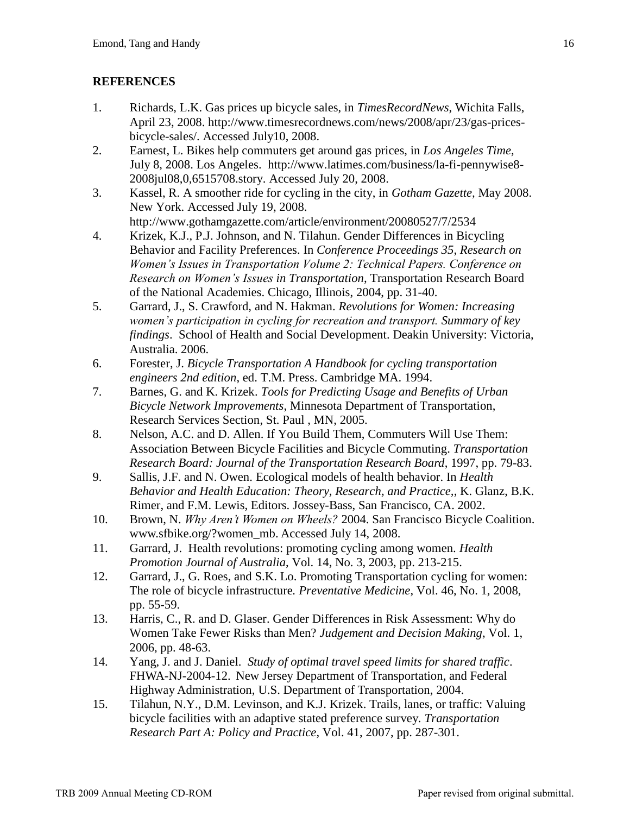# **REFERENCES**

- 1. Richards, L.K. Gas prices up bicycle sales, in *TimesRecordNews*, Wichita Falls, April 23, 2008. http://www.timesrecordnews.com/news/2008/apr/23/gas-pricesbicycle-sales/. Accessed July10, 2008.
- 2. Earnest, L. Bikes help commuters get around gas prices, in *Los Angeles Time,*  July 8, 2008. Los Angeles. http://www.latimes.com/business/la-fi-pennywise8- 2008jul08,0,6515708.story. Accessed July 20, 2008.
- 3. Kassel, R. A smoother ride for cycling in the city, in *Gotham Gazette,* May 2008. New York. Accessed July 19, 2008.

http://www.gothamgazette.com/article/environment/20080527/7/2534

- 4. Krizek, K.J., P.J. Johnson, and N. Tilahun. Gender Differences in Bicycling Behavior and Facility Preferences. In *Conference Proceedings 35*, *Research on Women's Issues in Transportation Volume 2: Technical Papers. Conference on Research on Women's Issues in Transportation*, Transportation Research Board of the National Academies. Chicago, Illinois, 2004, pp. 31-40.
- 5. Garrard, J., S. Crawford, and N. Hakman. *Revolutions for Women: Increasing women's participation in cycling for recreation and transport. Summary of key findings*. School of Health and Social Development. Deakin University: Victoria, Australia. 2006.
- 6. Forester, J. *Bicycle Transportation A Handbook for cycling transportation engineers 2nd edition*, ed. T.M. Press. Cambridge MA. 1994.
- 7. Barnes, G. and K. Krizek. *Tools for Predicting Usage and Benefits of Urban Bicycle Network Improvements*, Minnesota Department of Transportation, Research Services Section, St. Paul , MN, 2005.
- 8. Nelson, A.C. and D. Allen. If You Build Them, Commuters Will Use Them: Association Between Bicycle Facilities and Bicycle Commuting. *Transportation Research Board: Journal of the Transportation Research Board*, 1997, pp. 79-83.
- 9. Sallis, J.F. and N. Owen. Ecological models of health behavior. In *Health Behavior and Health Education: Theory, Research, and Practice,*, K. Glanz, B.K. Rimer, and F.M. Lewis, Editors. Jossey-Bass, San Francisco, CA. 2002.
- 10. Brown, N. *Why Aren't Women on Wheels?* 2004. San Francisco Bicycle Coalition. www.sfbike.org/?women\_mb. Accessed July 14, 2008.
- 11. Garrard, J. Health revolutions: promoting cycling among women. *Health Promotion Journal of Australia*, Vol. 14, No. 3, 2003, pp. 213-215.
- 12. Garrard, J., G. Roes, and S.K. Lo. Promoting Transportation cycling for women: The role of bicycle infrastructure*. Preventative Medicine*, Vol. 46, No. 1, 2008, pp. 55-59.
- 13. Harris, C., R. and D. Glaser. Gender Differences in Risk Assessment: Why do Women Take Fewer Risks than Men? *Judgement and Decision Making*, Vol. 1, 2006, pp. 48-63.
- 14. Yang, J. and J. Daniel. *Study of optimal travel speed limits for shared traffic*. FHWA-NJ-2004-12. New Jersey Department of Transportation, and Federal Highway Administration, U.S. Department of Transportation, 2004.
- 15. Tilahun, N.Y., D.M. Levinson, and K.J. Krizek. Trails, lanes, or traffic: Valuing bicycle facilities with an adaptive stated preference survey*. Transportation Research Part A: Policy and Practice*, Vol. 41, 2007, pp. 287-301.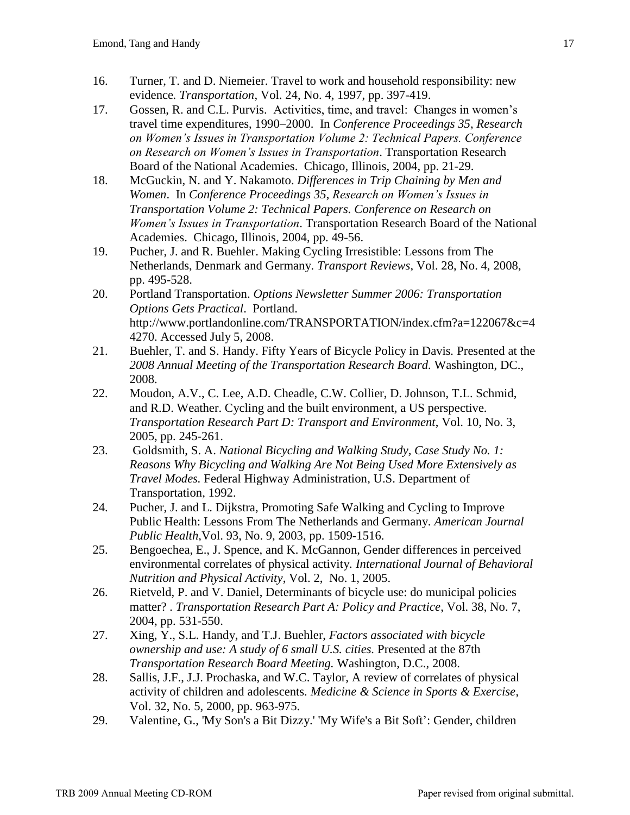- 16. Turner, T. and D. Niemeier. Travel to work and household responsibility: new evidence*. Transportation*, Vol. 24, No. 4, 1997, pp. 397-419.
- 17. Gossen, R. and C.L. Purvis. Activities, time, and travel: Changes in women's travel time expenditures, 1990–2000. In *Conference Proceedings 35*, *Research on Women's Issues in Transportation Volume 2: Technical Papers. Conference on Research on Women's Issues in Transportation*. Transportation Research Board of the National Academies. Chicago, Illinois, 2004, pp. 21-29.
- 18. McGuckin, N. and Y. Nakamoto. *Differences in Trip Chaining by Men and Women*. In *Conference Proceedings 35*, *Research on Women's Issues in Transportation Volume 2: Technical Papers. Conference on Research on Women's Issues in Transportation*. Transportation Research Board of the National Academies. Chicago, Illinois, 2004, pp. 49-56.
- 19. Pucher, J. and R. Buehler. Making Cycling Irresistible: Lessons from The Netherlands, Denmark and Germany*. Transport Reviews*, Vol. 28, No. 4, 2008, pp. 495-528.
- 20. Portland Transportation. *Options Newsletter Summer 2006: Transportation Options Gets Practical*. Portland. http://www.portlandonline.com/TRANSPORTATION/index.cfm?a=122067&c=4 4270. Accessed July 5, 2008.
- 21. Buehler, T. and S. Handy. Fifty Years of Bicycle Policy in Davis*.* Presented at the *2008 Annual Meeting of the Transportation Research Board.* Washington, DC., 2008.
- 22. Moudon, A.V., C. Lee, A.D. Cheadle, C.W. Collier, D. Johnson, T.L. Schmid, and R.D. Weather. Cycling and the built environment, a US perspective*. Transportation Research Part D: Transport and Environment*, Vol. 10, No. 3, 2005, pp. 245-261.
- 23. Goldsmith, S. A. *National Bicycling and Walking Study, Case Study No. 1: Reasons Why Bicycling and Walking Are Not Being Used More Extensively as Travel Modes.* Federal Highway Administration*,* U.S. Department of Transportation, 1992.
- 24. Pucher, J. and L. Dijkstra, Promoting Safe Walking and Cycling to Improve Public Health: Lessons From The Netherlands and Germany*. American Journal Public Health*,Vol. 93, No. 9, 2003, pp. 1509-1516.
- 25. Bengoechea, E., J. Spence, and K. McGannon, Gender differences in perceived environmental correlates of physical activity*. International Journal of Behavioral Nutrition and Physical Activity*, Vol. 2, No. 1, 2005.
- 26. Rietveld, P. and V. Daniel, Determinants of bicycle use: do municipal policies matter? *. Transportation Research Part A: Policy and Practice*, Vol. 38, No. 7, 2004, pp. 531-550.
- 27. Xing, Y., S.L. Handy, and T.J. Buehler, *Factors associated with bicycle ownership and use: A study of 6 small U.S. cities.* Presented at the 87th *Transportation Research Board Meeting.* Washington, D.C., 2008.
- 28. Sallis, J.F., J.J. Prochaska, and W.C. Taylor, A review of correlates of physical activity of children and adolescents*. Medicine & Science in Sports & Exercise*, Vol. 32, No. 5, 2000, pp. 963-975.
- 29. Valentine, G., 'My Son's a Bit Dizzy.' 'My Wife's a Bit Soft': Gender, children